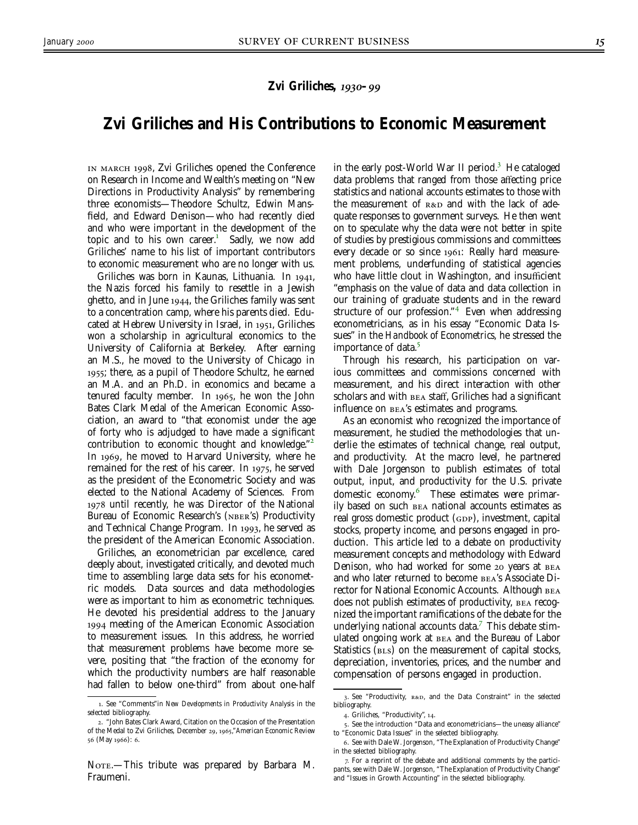## *Zvi Griliches, 1930–99*

## **Zvi Griliches and His Contributions to Economic Measurement**

IN MARCH 1998, Zvi Griliches opened the Conference on Research in Income and Wealth's meeting on "New Directions in Productivity Analysis" by remembering three economists—Theodore Schultz, Edwin Mansfield, and Edward Denison—who had recently died and who were important in the development of the topic and to his own career.<sup>1</sup> Sadly, we now add Griliches' name to his list of important contributors to economic measurement who are no longer with us.

Griliches was born in Kaunas, Lithuania. In 1941, the Nazis forced his family to resettle in a Jewish ghetto, and in June  $1944$ , the Griliches family was sent to a concentration camp, where his parents died. Educated at Hebrew University in Israel, in 1951, Griliches won a scholarship in agricultural economics to the University of California at Berkeley. After earning an M.S., he moved to the University of Chicago in ; there, as a pupil of Theodore Schultz, he earned an M.A. and an Ph.D. in economics and became a tenured faculty member. In 1965, he won the John Bates Clark Medal of the American Economic Association, an award to "that economist under the age of forty who is adjudged to have made a significant contribution to economic thought and knowledge." In 1969, he moved to Harvard University, where he remained for the rest of his career. In  $1975$ , he served as the president of the Econometric Society and was elected to the National Academy of Sciences. From 1978 until recently, he was Director of the National Bureau of Economic Research's (NBER's) Productivity and Technical Change Program. In 1993, he served as the president of the American Economic Association.

Griliches, an econometrician par excellence, cared deeply about, investigated critically, and devoted much time to assembling large data sets for his econometric models. Data sources and data methodologies were as important to him as econometric techniques. He devoted his presidential address to the January meeting of the American Economic Association to measurement issues. In this address, he worried that measurement problems have become more severe, positing that "the fraction of the economy for which the productivity numbers are half reasonable had fallen to below one-third" from about one-half

NOTE.—This tribute was prepared by Barbara M. Fraumeni.

in the early post-World War II period.<sup>3</sup> He cataloged data problems that ranged from those affecting price statistics and national accounts estimates to those with the measurement of  $R&D$  and with the lack of adequate responses to government surveys. He then went on to speculate why the data were not better in spite of studies by prestigious commissions and committees every decade or so since 1961: Really hard measurement problems, underfunding of statistical agencies who have little clout in Washington, and insufficient "emphasis on the value of data and data collection in our training of graduate students and in the reward structure of our profession." $4$  Even when addressing econometricians, as in his essay "Economic Data Issues" in the *Handbook of Econometrics*, he stressed the importance of data.

Through his research, his participation on various committees and commissions concerned with measurement, and his direct interaction with other scholars and with **BEA** staff, Griliches had a significant influence on BEA's estimates and programs.

As an economist who recognized the importance of measurement, he studied the methodologies that underlie the estimates of technical change, real output, and productivity. At the macro level, he partnered with Dale Jorgenson to publish estimates of total output, input, and productivity for the U.S. private domestic economy.<sup>6</sup> These estimates were primarily based on such national accounts estimates as real gross domestic product (GDP), investment, capital stocks, property income, and persons engaged in production. This article led to a debate on productivity measurement concepts and methodology with Edward Denison, who had worked for some 20 years at BEA and who later returned to become BEA's Associate Director for National Economic Accounts. Although does not publish estimates of productivity, BEA recognized the important ramifications of the debate for the underlying national accounts data. $7$  This debate stimulated ongoing work at and the Bureau of Labor Statistics (BLS) on the measurement of capital stocks, depreciation, inventories, prices, and the number and compensation of persons engaged in production.

<sup>.</sup> See "Comments"in *New Developments in Productivity Analysis* in the selected bibliography.

<sup>. &</sup>quot;John Bates Clark Award, Citation on the Occasion of the Presentation of the Medal to Zvi Griliches, December 29, 1965," American Economic Review 56 (May 1966): 6.

<sup>3.</sup> See "Productivity, R&D, and the Data Constraint" in the selected bibliography.

<sup>4.</sup> Griliches, "Productivity", 14.

<sup>.</sup> See the introduction "Data and econometricians—the uneasy alliance" to "Economic Data Issues" in the selected bibliography.

<sup>.</sup> See with Dale W. Jorgenson, "The Explanation of Productivity Change" in the selected bibliography.

<sup>.</sup> For a reprint of the debate and additional comments by the participants, see with Dale W. Jorgenson, "The Explanation of Productivity Change" and "Issues in Growth Accounting" in the selected bibliography.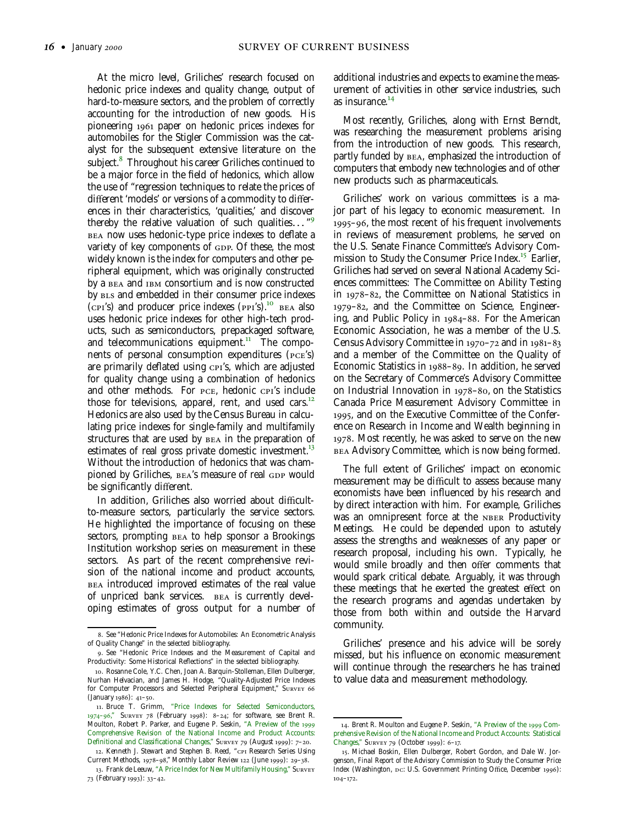At the micro level, Griliches' research focused on hedonic price indexes and quality change, output of hard-to-measure sectors, and the problem of correctly accounting for the introduction of new goods. His pioneering 1961 paper on hedonic prices indexes for automobiles for the Stigler Commission was the catalyst for the subsequent extensive literature on the subject.<sup>8</sup> Throughout his career Griliches continued to be a major force in the field of hedonics, which allow the use of "regression techniques to relate the prices of different 'models' or versions of a commodity to differences in their characteristics, 'qualities,' and discover thereby the relative valuation of such qualities*...* " BEA now uses hedonic-type price indexes to deflate a variety of key components of GDP. Of these, the most widely known is the index for computers and other peripheral equipment, which was originally constructed by a BEA and IBM consortium and is now constructed by BLS and embedded in their consumer price indexes  $(cpr's)$  and producer price indexes  $(pPI's)$ .<sup>10</sup> BEA also uses hedonic price indexes for other high-tech products, such as semiconductors, prepackaged software, and telecommunications equipment.<sup>11</sup> The components of personal consumption expenditures  $($  $pcE's)$ are primarily deflated using CPI's, which are adjusted for quality change using a combination of hedonics and other methods. For PCE, hedonic CPI's include those for televisions, apparel, rent, and used cars.<sup>12</sup> Hedonics are also used by the Census Bureau in calculating price indexes for single-family and multifamily structures that are used by BEA in the preparation of estimates of real gross private domestic investment.<sup>13</sup> Without the introduction of hedonics that was championed by Griliches, BEA's measure of real GDP would be significantly different.

In addition, Griliches also worried about difficultto-measure sectors, particularly the service sectors. He highlighted the importance of focusing on these sectors, prompting BEA to help sponsor a Brookings Institution workshop series on measurement in these sectors. As part of the recent comprehensive revision of the national income and product accounts, introduced improved estimates of the real value of unpriced bank services. BEA is currently developing estimates of gross output for a number of additional industries and expects to examine the measurement of activities in other service industries, such as insurance.<sup>14</sup>

Most recently, Griliches, along with Ernst Berndt, was researching the measurement problems arising from the introduction of new goods. This research, partly funded by BEA, emphasized the introduction of computers that embody new technologies and of other new products such as pharmaceuticals.

Griliches' work on various committees is a major part of his legacy to economic measurement. In  $1995 - 96$ , the most recent of his frequent involvements in reviews of measurement problems, he served on the U.S. Senate Finance Committee's Advisory Commission to Study the Consumer Price Index.<sup>15</sup> Earlier, Griliches had served on several National Academy Sciences committees: The Committee on Ability Testing in  $1978-82$ , the Committee on National Statistics in 1979-82, and the Committee on Science, Engineering, and Public Policy in  $1984-88$ . For the American Economic Association, he was a member of the U.S. Census Advisory Committee in  $1970 - 72$  and in  $1981 - 83$ and a member of the Committee on the Quality of Economic Statistics in 1988–89. In addition, he served on the Secretary of Commerce's Advisory Committee on Industrial Innovation in  $1978-80$ , on the Statistics Canada Price Measurement Advisory Committee in , and on the Executive Committee of the Conference on Research in Income and Wealth beginning in . Most recently, he was asked to serve on the new Advisory Committee, which is now being formed.

The full extent of Griliches' impact on economic measurement may be difficult to assess because many economists have been influenced by his research and by direct interaction with him. For example, Griliches was an omnipresent force at the NBER Productivity Meetings. He could be depended upon to astutely assess the strengths and weaknesses of any paper or research proposal, including his own. Typically, he would smile broadly and then offer comments that would spark critical debate. Arguably, it was through these meetings that he exerted the greatest effect on the research programs and agendas undertaken by those from both within and outside the Harvard community.

Griliches' presence and his advice will be sorely missed, but his influence on economic measurement will continue through the researchers he has trained to value data and measurement methodology.

<sup>.</sup> See "Hedonic Price Indexes for Automobiles: An Econometric Analysis of Quality Change" in the selected bibliography.

<sup>.</sup> See "Hedonic Price Indexes and the Measurement of Capital and Productivity: Some Historical Reflections" in the selected bibliography.

<sup>.</sup> Rosanne Cole, Y.C. Chen, Joan A. Barquin-Stolleman, Ellen Dulberger, Nurhan Helvacian, and James H. Hodge, "Quality-Adjusted Price Indexes for Computer Processors and Selected Peripheral Equipment," S (January 1986): 41-50.

<sup>.</sup> Bruce T. Grimm, "Price Indexes for Selected Semiconductors, 1974-96," SURVEY 78 (February 1998): 8-24; for software, see Brent R. Moulton, Robert P. Parker, and Eugene P. Seskin, "A Preview of the Comprehensive Revision of the National Income and Product Accounts: Definitional and Classificational Changes," SURVEY 79 (August 1999): 7-20.

<sup>12.</sup> Kenneth J. Stewart and Stephen B. Reed, "CPI Research Series Using Current Methods, 1978-98," Monthly Labor Review 122 (June 1999): 29-38. 13. Frank de Leeuw, "A Price Index for New Multifamily Housing," SURVEY

<sup>73 (</sup>February 1993): 33-42.

<sup>14.</sup> Brent R. Moulton and Eugene P. Seskin, "A Preview of the 1999 Comprehensive Revision of the National Income and Product Accounts: Statistical Changes," SURVEY 79 (October 1999): 6-17.

<sup>.</sup> Michael Boskin, Ellen Dulberger, Robert Gordon, and Dale W. Jorgenson, *Final Report of the Advisory Commission to Study the Consumer Price Index* (Washington, D.C. U.S. Government Printing Office, December 1996):  $104 - 172.$